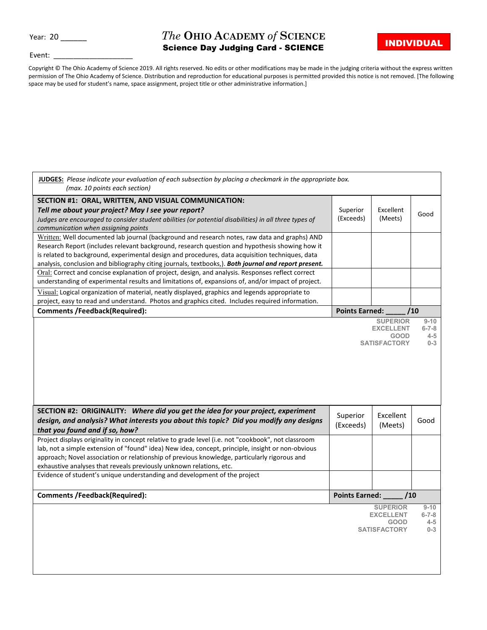Year: 20

## *The* **OHIO ACADEMY** *of* **SCIENCE** Science Day Judging Card - SCIENCE

٦

Event:

Copyright © The Ohio Academy of Science 2019. All rights reserved. No edits or other modifications may be made in the judging criteria without the express written permission of The Ohio Academy of Science. Distribution and reproduction for educational purposes is permitted provided this notice is not removed. [The following space may be used for student's name, space assignment, project title or other administrative information.]

| JUDGES: Please indicate your evaluation of each subsection by placing a checkmark in the appropriate box.<br>(max. 10 points each section) |                                                        |                                    |                         |  |  |
|--------------------------------------------------------------------------------------------------------------------------------------------|--------------------------------------------------------|------------------------------------|-------------------------|--|--|
| SECTION #1: ORAL, WRITTEN, AND VISUAL COMMUNICATION:                                                                                       |                                                        |                                    |                         |  |  |
| Tell me about your project? May I see your report?                                                                                         | Superior                                               | Excellent                          | Good                    |  |  |
| Judges are encouraged to consider student abilities (or potential disabilities) in all three types of                                      | (Exceeds)                                              | (Meets)                            |                         |  |  |
| communication when assigning points<br>Written: Well documented lab journal (background and research notes, raw data and graphs) AND       |                                                        |                                    |                         |  |  |
| Research Report (includes relevant background, research question and hypothesis showing how it                                             |                                                        |                                    |                         |  |  |
| is related to background, experimental design and procedures, data acquisition techniques, data                                            |                                                        |                                    |                         |  |  |
| analysis, conclusion and bibliography citing journals, textbooks,). Both journal and report present.                                       |                                                        |                                    |                         |  |  |
| Oral: Correct and concise explanation of project, design, and analysis. Responses reflect correct                                          |                                                        |                                    |                         |  |  |
| understanding of experimental results and limitations of, expansions of, and/or impact of project.                                         |                                                        |                                    |                         |  |  |
| Visual: Logical organization of material, neatly displayed, graphics and legends appropriate to                                            |                                                        |                                    |                         |  |  |
| project, easy to read and understand. Photos and graphics cited. Includes required information.                                            |                                                        |                                    |                         |  |  |
| <b>Comments /Feedback(Required):</b>                                                                                                       | <b>Points Earned:</b>                                  |                                    | /10                     |  |  |
|                                                                                                                                            |                                                        | <b>SUPERIOR</b>                    | $9 - 10$<br>$6 - 7 - 8$ |  |  |
|                                                                                                                                            | <b>EXCELLENT</b><br><b>GOOD</b><br><b>SATISFACTORY</b> |                                    |                         |  |  |
|                                                                                                                                            |                                                        |                                    |                         |  |  |
|                                                                                                                                            |                                                        |                                    |                         |  |  |
|                                                                                                                                            |                                                        |                                    |                         |  |  |
|                                                                                                                                            |                                                        |                                    |                         |  |  |
|                                                                                                                                            |                                                        |                                    |                         |  |  |
|                                                                                                                                            |                                                        |                                    |                         |  |  |
|                                                                                                                                            |                                                        |                                    |                         |  |  |
|                                                                                                                                            |                                                        |                                    |                         |  |  |
| SECTION #2: ORIGINALITY: Where did you get the idea for your project, experiment                                                           |                                                        |                                    |                         |  |  |
| design, and analysis? What interests you about this topic? Did you modify any designs                                                      | Superior                                               | Excellent                          | Good                    |  |  |
| that you found and if so, how?                                                                                                             | (Exceeds)                                              | (Meets)                            |                         |  |  |
| Project displays originality in concept relative to grade level (i.e. not "cookbook", not classroom                                        |                                                        |                                    |                         |  |  |
| lab, not a simple extension of "found" idea) New idea, concept, principle, insight or non-obvious                                          |                                                        |                                    |                         |  |  |
| approach; Novel association or relationship of previous knowledge, particularly rigorous and                                               |                                                        |                                    |                         |  |  |
| exhaustive analyses that reveals previously unknown relations, etc.                                                                        |                                                        |                                    |                         |  |  |
| Evidence of student's unique understanding and development of the project                                                                  |                                                        |                                    |                         |  |  |
|                                                                                                                                            |                                                        |                                    |                         |  |  |
| <b>Comments /Feedback(Required):</b>                                                                                                       | Points Earned:                                         | /10                                |                         |  |  |
|                                                                                                                                            |                                                        | <b>SUPERIOR</b>                    | $9 - 10$                |  |  |
|                                                                                                                                            |                                                        | <b>EXCELLENT</b>                   | $6 - 7 - 8$             |  |  |
|                                                                                                                                            |                                                        | <b>GOOD</b><br><b>SATISFACTORY</b> | $4 - 5$<br>$0 - 3$      |  |  |
|                                                                                                                                            |                                                        |                                    |                         |  |  |
|                                                                                                                                            |                                                        |                                    |                         |  |  |
|                                                                                                                                            |                                                        |                                    |                         |  |  |